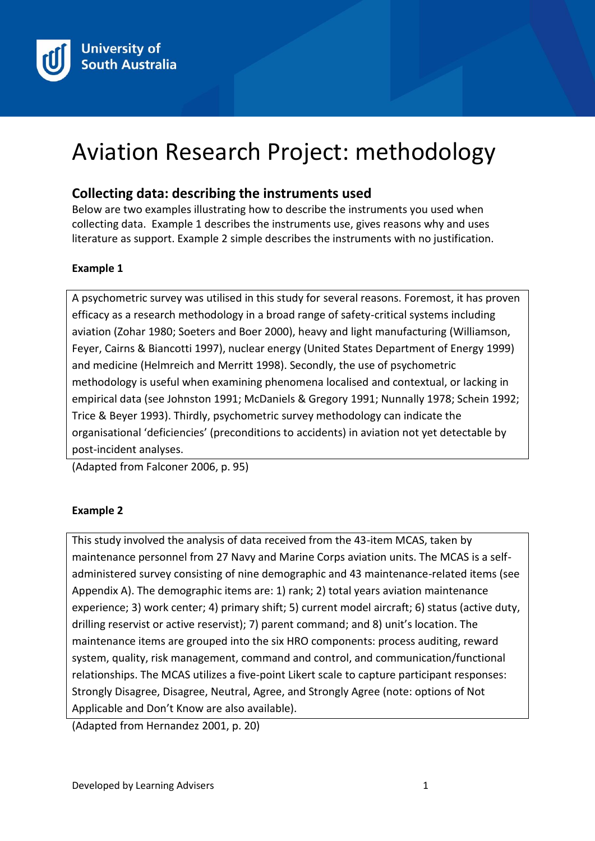

# Aviation Research Project: methodology

## **Collecting data: describing the instruments used**

Below are two examples illustrating how to describe the instruments you used when collecting data. Example 1 describes the instruments use, gives reasons why and uses literature as support. Example 2 simple describes the instruments with no justification.

#### **Example 1**

A psychometric survey was utilised in this study for several reasons. Foremost, it has proven efficacy as a research methodology in a broad range of safety-critical systems including aviation (Zohar 1980; Soeters and Boer 2000), heavy and light manufacturing (Williamson, Feyer, Cairns & Biancotti 1997), nuclear energy (United States Department of Energy 1999) and medicine (Helmreich and Merritt 1998). Secondly, the use of psychometric methodology is useful when examining phenomena localised and contextual, or lacking in empirical data (see Johnston 1991; McDaniels & Gregory 1991; Nunnally 1978; Schein 1992; Trice & Beyer 1993). Thirdly, psychometric survey methodology can indicate the organisational 'deficiencies' (preconditions to accidents) in aviation not yet detectable by post-incident analyses.

(Adapted from Falconer 2006, p. 95)

#### **Example 2**

This study involved the analysis of data received from the 43-item MCAS, taken by maintenance personnel from 27 Navy and Marine Corps aviation units. The MCAS is a selfadministered survey consisting of nine demographic and 43 maintenance-related items (see Appendix A). The demographic items are: 1) rank; 2) total years aviation maintenance experience; 3) work center; 4) primary shift; 5) current model aircraft; 6) status (active duty, drilling reservist or active reservist); 7) parent command; and 8) unit's location. The maintenance items are grouped into the six HRO components: process auditing, reward system, quality, risk management, command and control, and communication/functional relationships. The MCAS utilizes a five-point Likert scale to capture participant responses: Strongly Disagree, Disagree, Neutral, Agree, and Strongly Agree (note: options of Not Applicable and Don't Know are also available).

(Adapted from Hernandez 2001, p. 20)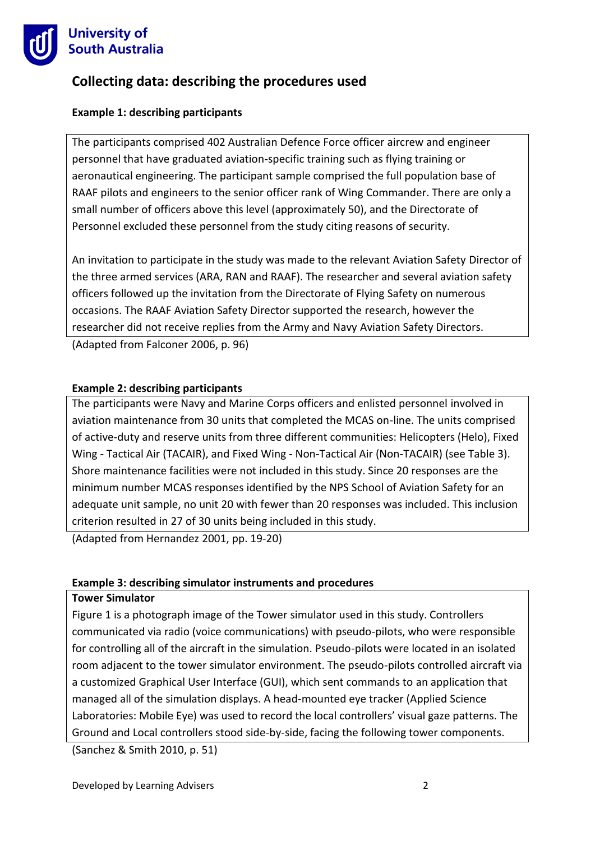

# **Collecting data: describing the procedures used**

### **Example 1: describing participants**

The participants comprised 402 Australian Defence Force officer aircrew and engineer personnel that have graduated aviation-specific training such as flying training or aeronautical engineering. The participant sample comprised the full population base of RAAF pilots and engineers to the senior officer rank of Wing Commander. There are only a small number of officers above this level (approximately 50), and the Directorate of Personnel excluded these personnel from the study citing reasons of security.

An invitation to participate in the study was made to the relevant Aviation Safety Director of the three armed services (ARA, RAN and RAAF). The researcher and several aviation safety officers followed up the invitation from the Directorate of Flying Safety on numerous occasions. The RAAF Aviation Safety Director supported the research, however the researcher did not receive replies from the Army and Navy Aviation Safety Directors.

(Adapted from Falconer 2006, p. 96)

#### **Example 2: describing participants**

The participants were Navy and Marine Corps officers and enlisted personnel involved in aviation maintenance from 30 units that completed the MCAS on-line. The units comprised of active-duty and reserve units from three different communities: Helicopters (Helo), Fixed Wing - Tactical Air (TACAIR), and Fixed Wing - Non-Tactical Air (Non-TACAIR) (see Table 3). Shore maintenance facilities were not included in this study. Since 20 responses are the minimum number MCAS responses identified by the NPS School of Aviation Safety for an adequate unit sample, no unit 20 with fewer than 20 responses was included. This inclusion criterion resulted in 27 of 30 units being included in this study.

(Adapted from Hernandez 2001, pp. 19-20)

#### **Example 3: describing simulator instruments and procedures**

#### **Tower Simulator**

Figure 1 is a photograph image of the Tower simulator used in this study. Controllers communicated via radio (voice communications) with pseudo-pilots, who were responsible for controlling all of the aircraft in the simulation. Pseudo-pilots were located in an isolated room adjacent to the tower simulator environment. The pseudo-pilots controlled aircraft via a customized Graphical User Interface (GUI), which sent commands to an application that managed all of the simulation displays. A head-mounted eye tracker (Applied Science Laboratories: Mobile Eye) was used to record the local controllers' visual gaze patterns. The Ground and Local controllers stood side-by-side, facing the following tower components.

(Sanchez & Smith 2010, p. 51)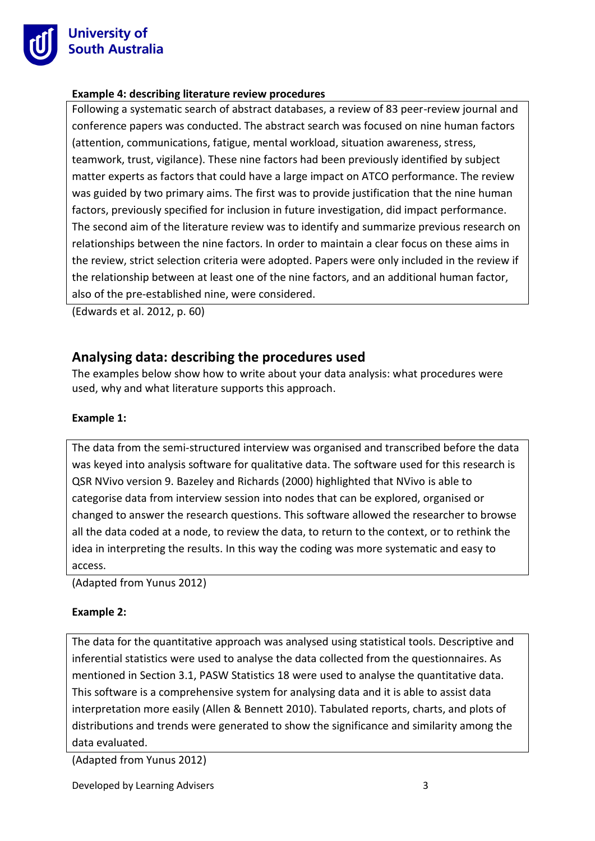

### **Example 4: describing literature review procedures**

Following a systematic search of abstract databases, a review of 83 peer-review journal and conference papers was conducted. The abstract search was focused on nine human factors (attention, communications, fatigue, mental workload, situation awareness, stress, teamwork, trust, vigilance). These nine factors had been previously identified by subject matter experts as factors that could have a large impact on ATCO performance. The review was guided by two primary aims. The first was to provide justification that the nine human factors, previously specified for inclusion in future investigation, did impact performance. The second aim of the literature review was to identify and summarize previous research on relationships between the nine factors. In order to maintain a clear focus on these aims in the review, strict selection criteria were adopted. Papers were only included in the review if the relationship between at least one of the nine factors, and an additional human factor, also of the pre-established nine, were considered.

(Edwards et al. 2012, p. 60)

# **Analysing data: describing the procedures used**

The examples below show how to write about your data analysis: what procedures were used, why and what literature supports this approach.

## **Example 1:**

The data from the semi-structured interview was organised and transcribed before the data was keyed into analysis software for qualitative data. The software used for this research is QSR NVivo version 9. Bazeley and Richards (2000) highlighted that NVivo is able to categorise data from interview session into nodes that can be explored, organised or changed to answer the research questions. This software allowed the researcher to browse all the data coded at a node, to review the data, to return to the context, or to rethink the idea in interpreting the results. In this way the coding was more systematic and easy to access.

(Adapted from Yunus 2012)

#### **Example 2:**

The data for the quantitative approach was analysed using statistical tools. Descriptive and inferential statistics were used to analyse the data collected from the questionnaires. As mentioned in Section 3.1, PASW Statistics 18 were used to analyse the quantitative data. This software is a comprehensive system for analysing data and it is able to assist data interpretation more easily (Allen & Bennett 2010). Tabulated reports, charts, and plots of distributions and trends were generated to show the significance and similarity among the data evaluated.

(Adapted from Yunus 2012)